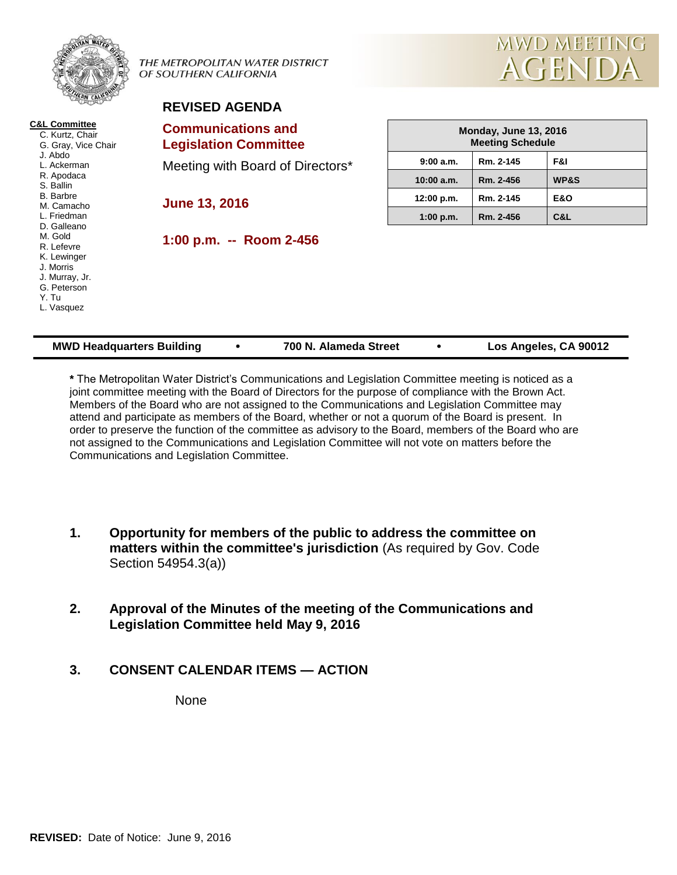|                                                                                                                                                                                                                                                                                               | THE METROPOLITAN WATER DISTRICT<br>OF SOUTHERN CALIFORNIA | MWD MEETING<br>AGENDA                                   |           |                 |
|-----------------------------------------------------------------------------------------------------------------------------------------------------------------------------------------------------------------------------------------------------------------------------------------------|-----------------------------------------------------------|---------------------------------------------------------|-----------|-----------------|
|                                                                                                                                                                                                                                                                                               | <b>REVISED AGENDA</b>                                     |                                                         |           |                 |
| <b>C&amp;L Committee</b><br>C. Kurtz, Chair<br>G. Gray, Vice Chair<br>J. Abdo<br>L. Ackerman<br>R. Apodaca<br>S. Ballin<br>B. Barbre<br>M. Camacho<br>L. Friedman<br>D. Galleano<br>M. Gold<br>R. Lefevre<br>K. Lewinger<br>J. Morris<br>J. Murray, Jr.<br>G. Peterson<br>Y. Tu<br>L. Vasquez | <b>Communications and</b><br><b>Legislation Committee</b> | <b>Monday, June 13, 2016</b><br><b>Meeting Schedule</b> |           |                 |
|                                                                                                                                                                                                                                                                                               | Meeting with Board of Directors*<br><b>June 13, 2016</b>  | 9:00 a.m.                                               | Rm. 2-145 | F&I             |
|                                                                                                                                                                                                                                                                                               |                                                           | 10:00 a.m.                                              | Rm. 2-456 | <b>WP&amp;S</b> |
|                                                                                                                                                                                                                                                                                               |                                                           | 12:00 p.m.                                              | Rm. 2-145 | <b>E&amp;O</b>  |
|                                                                                                                                                                                                                                                                                               |                                                           | 1:00 p.m.                                               | Rm. 2-456 | C&L             |
|                                                                                                                                                                                                                                                                                               | 1:00 p.m. -- Room 2-456                                   |                                                         |           |                 |

| * The Metropolitan Water District's Communications and Legislation Committee meeting is noticed as a   |
|--------------------------------------------------------------------------------------------------------|
| joint committee meeting with the Board of Directors for the purpose of compliance with the Brown Act.  |
| Members of the Board who are not assigned to the Communications and Legislation Committee may          |
| attend and participate as members of the Board, whether or not a quorum of the Board is present. In    |
| order to preserve the function of the committee as advisory to the Board, members of the Board who are |
| not assigned to the Communications and Legislation Committee will not vote on matters before the       |
| Communications and Legislation Committee.                                                              |

**MWD Headquarters Building • 700 N. Alameda Street • Los Angeles, CA 90012** 

- **1. Opportunity for members of the public to address the committee on matters within the committee's jurisdiction** (As required by Gov. Code Section 54954.3(a))
- **2. Approval of the Minutes of the meeting of the Communications and Legislation Committee held May 9, 2016**
- **3. CONSENT CALENDAR ITEMS — ACTION**

None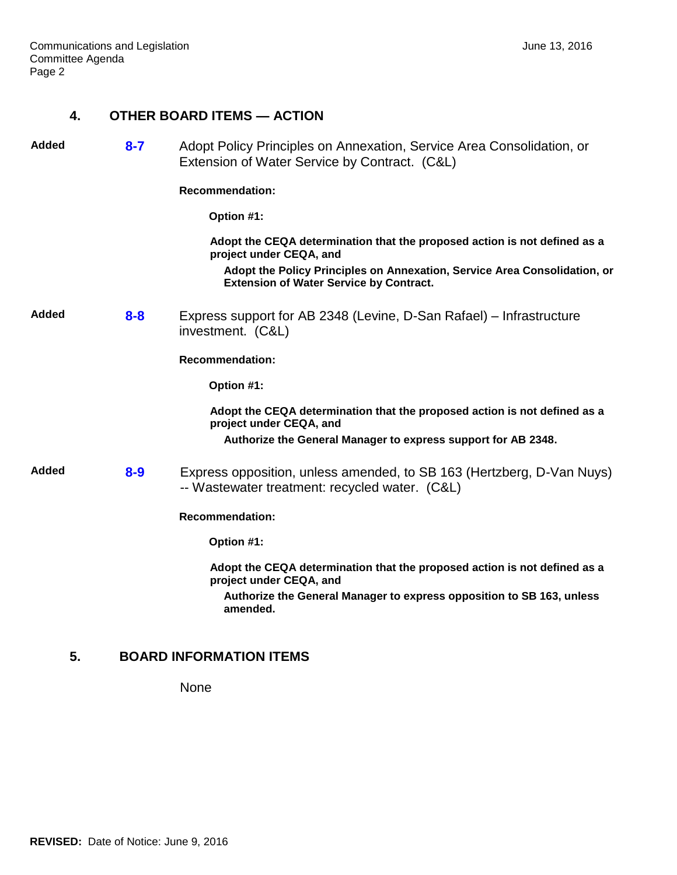# **4. OTHER BOARD ITEMS — ACTION**

| <b>Added</b> | $8 - 7$ | Adopt Policy Principles on Annexation, Service Area Consolidation, or<br>Extension of Water Service by Contract. (C&L)      |
|--------------|---------|-----------------------------------------------------------------------------------------------------------------------------|
|              |         | <b>Recommendation:</b>                                                                                                      |
|              |         | Option #1:                                                                                                                  |
|              |         | Adopt the CEQA determination that the proposed action is not defined as a<br>project under CEQA, and                        |
|              |         | Adopt the Policy Principles on Annexation, Service Area Consolidation, or<br><b>Extension of Water Service by Contract.</b> |
| Added        | $8 - 8$ | Express support for AB 2348 (Levine, D-San Rafael) – Infrastructure<br>investment. (C&L)                                    |
|              |         | <b>Recommendation:</b>                                                                                                      |
|              |         | Option #1:                                                                                                                  |
|              |         | Adopt the CEQA determination that the proposed action is not defined as a<br>project under CEQA, and                        |
|              |         | Authorize the General Manager to express support for AB 2348.                                                               |
| <b>Added</b> | $8 - 9$ | Express opposition, unless amended, to SB 163 (Hertzberg, D-Van Nuys)<br>-- Wastewater treatment: recycled water. (C&L)     |
|              |         | <b>Recommendation:</b>                                                                                                      |
|              |         | Option #1:                                                                                                                  |
|              |         | Adopt the CEQA determination that the proposed action is not defined as a<br>project under CEQA, and                        |
|              |         | Authorize the General Manager to express opposition to SB 163, unless<br>amended.                                           |

# **5. BOARD INFORMATION ITEMS**

None